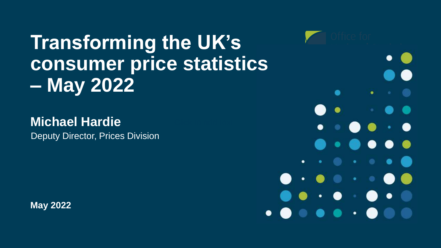**Transforming the UK's consumer price statistics – May 2022**

### **Michael Hardie**

Deputy Director, Prices Division

**May 2022**

٠  $\bullet$  $\bullet$  $\mathcal{A}(\bullet)$  .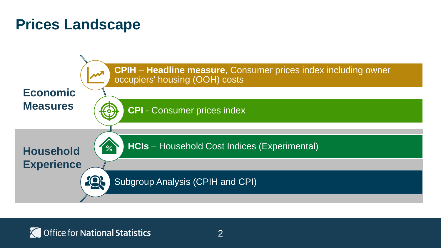### **Prices Landscape**



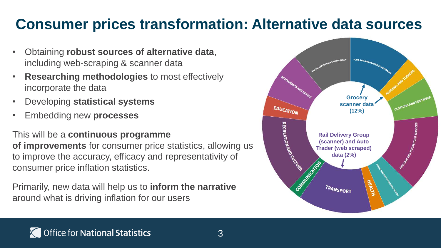## **Consumer prices transformation: Alternative data sources**

- Obtaining **robust sources of alternative data**, including web-scraping & scanner data
- **Researching methodologies** to most effectively incorporate the data
- Developing **statistical systems**
- Embedding new **processes**

This will be a **continuous programme** 

**of improvements** for consumer price statistics, allowing us to improve the accuracy, efficacy and representativity of consumer price inflation statistics.

Primarily, new data will help us to **inform the narrative** around what is driving inflation for our users

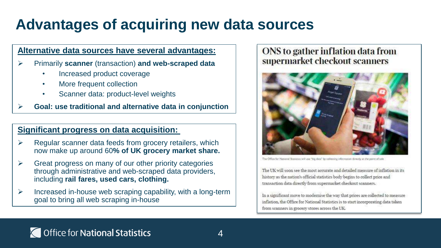# **Advantages of acquiring new data sources**

#### **Alternative data sources have several advantages:**

- ➢ Primarily **scanner** (transaction) **and web-scraped data**
	- Increased product coverage
	- More frequent collection
	- Scanner data: product-level weights
- ➢ **Goal: use traditional and alternative data in conjunction**

#### **Significant progress on data acquisition:**

- ➢ Regular scanner data feeds from grocery retailers, which now make up around 60**% of UK grocery market share.**
- $\triangleright$  Great progress on many of our other priority categories through administrative and web-scraped data providers, including **rail fares, used cars, clothing.**
- $\triangleright$  Increased in-house web scraping capability, with a long-term goal to bring all web scraping in-house

#### ONS to gather inflation data from supermarket checkout scanners



The Office for National Statistics will use "big data" by collecting information directly at the point of sale

The UK will soon see the most accurate and detailed measure of inflation in its history as the nation's official statistics body begins to collect price and transaction data directly from supermarket checkout scanners.

In a significant move to modernise the way that prices are collected to measure inflation, the Office for National Statistics is to start incorporating data taken from scanners in grocery stores across the UK.